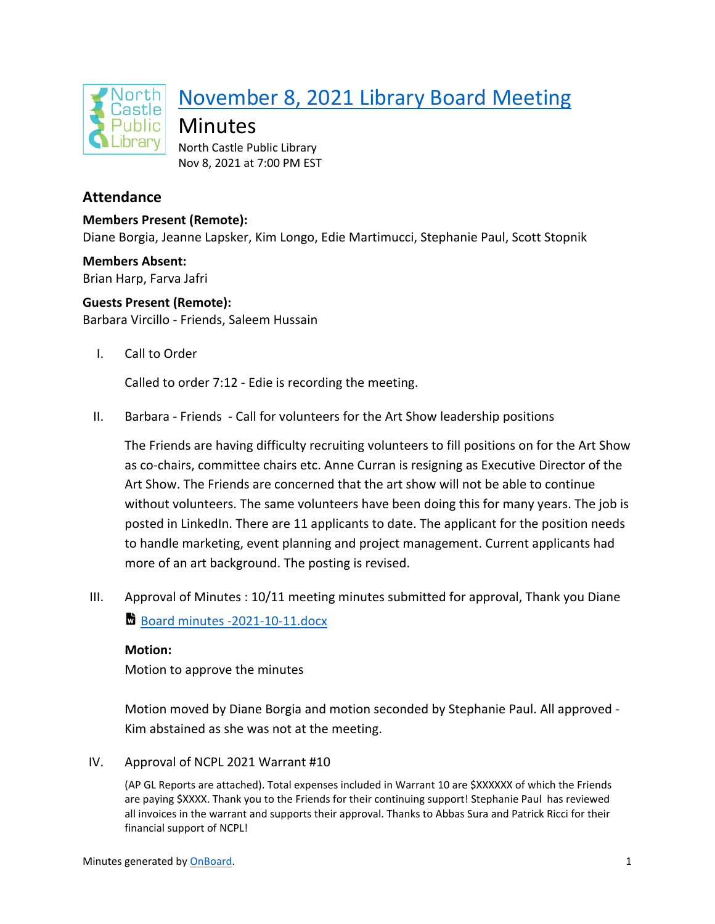

# November 8, 2021 Library Board Meeting

Minutes

North Castle Public Library Nov 8, 2021 at 7:00 PM EST

# **Attendance**

**Members Present (Remote):** Diane Borgia, Jeanne Lapsker, Kim Longo, Edie Martimucci, Stephanie Paul, Scott Stopnik

**Members Absent:** Brian Harp, Farva Jafri

**Guests Present (Remote):** Barbara Vircillo - Friends, Saleem Hussain

I. Call to Order

Called to order 7:12 - Edie is recording the meeting.

II. Barbara - Friends - Call for volunteers for the Art Show leadership positions

The Friends are having difficulty recruiting volunteers to fill positions on for the Art Show as co-chairs, committee chairs etc. Anne Curran is resigning as Executive Director of the Art Show. The Friends are concerned that the art show will not be able to continue without volunteers. The same volunteers have been doing this for many years. The job is posted in LinkedIn. There are 11 applicants to date. The applicant for the position needs to handle marketing, event planning and project management. Current applicants had more of an art background. The posting is revised.

III. Approval of Minutes : 10/11 meeting minutes submitted for approval, Thank you Diane Board minutes -2021-10-11.docx

**Motion:** Motion to approve the minutes

Motion moved by Diane Borgia and motion seconded by Stephanie Paul. All approved - Kim abstained as she was not at the meeting.

IV. Approval of NCPL 2021 Warrant #10

(AP GL Reports are attached). Total expenses included in Warrant 10 are \$XXXXXX of which the Friends are paying \$XXXX. Thank you to the Friends for their continuing support! Stephanie Paul has reviewed all invoices in the warrant and supports their approval. Thanks to Abbas Sura and Patrick Ricci for their financial support of NCPL!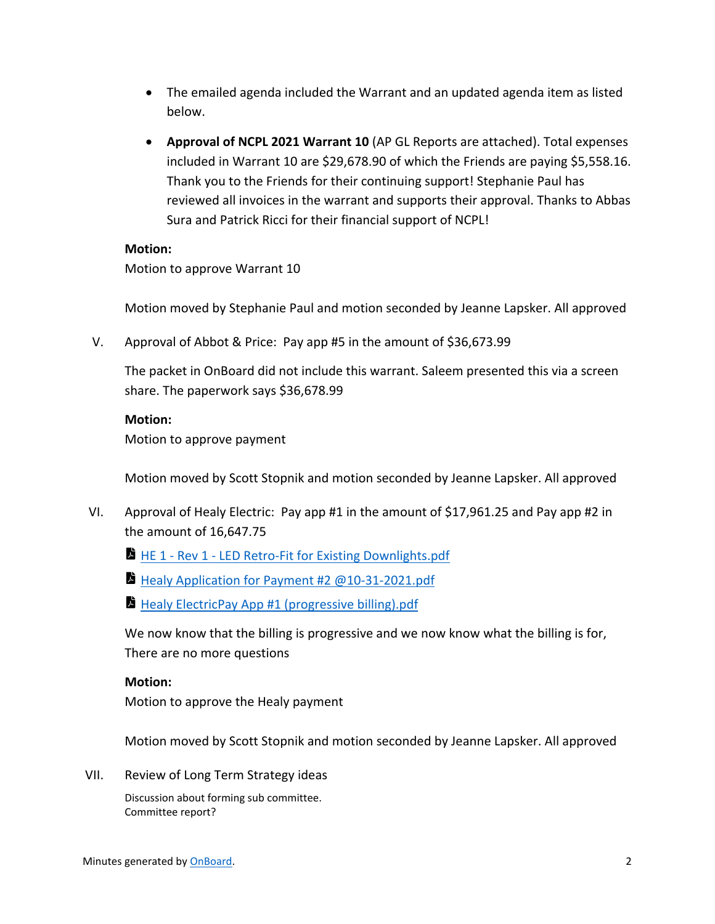- The emailed agenda included the Warrant and an updated agenda item as listed below.
- **Approval of NCPL 2021 Warrant 10** (AP GL Reports are attached). Total expenses included in Warrant 10 are \$29,678.90 of which the Friends are paying \$5,558.16. Thank you to the Friends for their continuing support! Stephanie Paul has reviewed all invoices in the warrant and supports their approval. Thanks to Abbas Sura and Patrick Ricci for their financial support of NCPL!

## **Motion:**

Motion to approve Warrant 10

Motion moved by Stephanie Paul and motion seconded by Jeanne Lapsker. All approved

V. Approval of Abbot & Price: Pay app #5 in the amount of \$36,673.99

The packet in OnBoard did not include this warrant. Saleem presented this via a screen share. The paperwork says \$36,678.99

#### **Motion:**

Motion to approve payment

Motion moved by Scott Stopnik and motion seconded by Jeanne Lapsker. All approved

- VI. Approval of Healy Electric: Pay app #1 in the amount of \$17,961.25 and Pay app #2 in the amount of 16,647.75
	- **HE 1 Rev 1 LED Retro-Fit for Existing Downlights.pdf**
	- Healy Application for Payment #2 @10-31-2021.pdf
	- **Healy ElectricPay App #1 (progressive billing).pdf**

We now know that the billing is progressive and we now know what the billing is for, There are no more questions

## **Motion:**

Motion to approve the Healy payment

Motion moved by Scott Stopnik and motion seconded by Jeanne Lapsker. All approved

VII. Review of Long Term Strategy ideas

Discussion about forming sub committee. Committee report?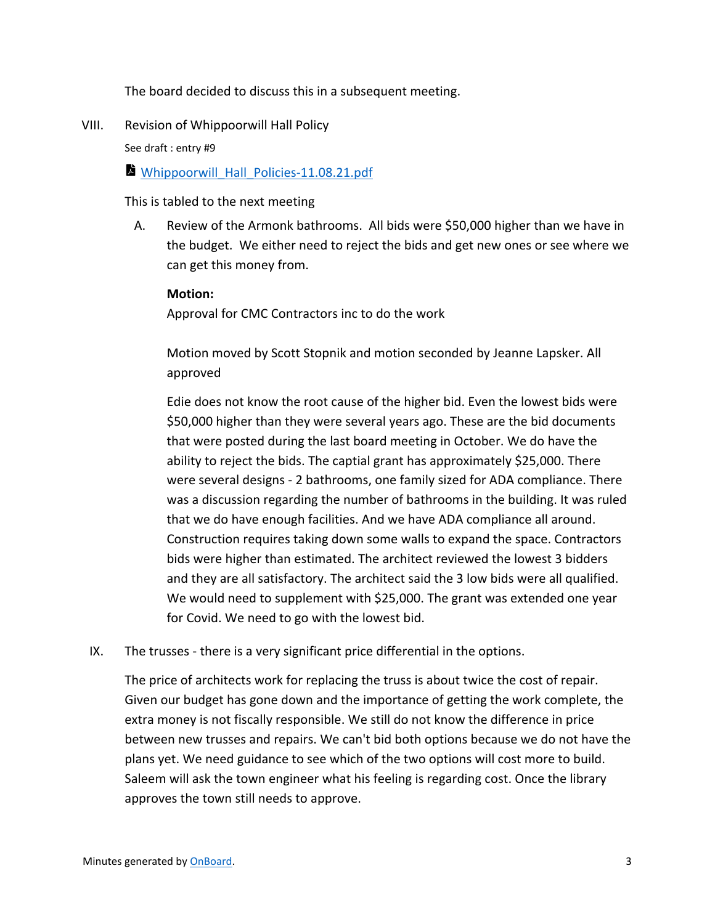The board decided to discuss this in a subsequent meeting.

VIII. Revision of Whippoorwill Hall Policy

See draft : entry #9

Whippoorwill\_Hall\_Policies-11.08.21.pdf

This is tabled to the next meeting

A. Review of the Armonk bathrooms. All bids were \$50,000 higher than we have in the budget. We either need to reject the bids and get new ones or see where we can get this money from.

#### **Motion:**

Approval for CMC Contractors inc to do the work

Motion moved by Scott Stopnik and motion seconded by Jeanne Lapsker. All approved

Edie does not know the root cause of the higher bid. Even the lowest bids were \$50,000 higher than they were several years ago. These are the bid documents that were posted during the last board meeting in October. We do have the ability to reject the bids. The captial grant has approximately \$25,000. There were several designs - 2 bathrooms, one family sized for ADA compliance. There was a discussion regarding the number of bathrooms in the building. It was ruled that we do have enough facilities. And we have ADA compliance all around. Construction requires taking down some walls to expand the space. Contractors bids were higher than estimated. The architect reviewed the lowest 3 bidders and they are all satisfactory. The architect said the 3 low bids were all qualified. We would need to supplement with \$25,000. The grant was extended one year for Covid. We need to go with the lowest bid.

IX. The trusses - there is a very significant price differential in the options.

The price of architects work for replacing the truss is about twice the cost of repair. Given our budget has gone down and the importance of getting the work complete, the extra money is not fiscally responsible. We still do not know the difference in price between new trusses and repairs. We can't bid both options because we do not have the plans yet. We need guidance to see which of the two options will cost more to build. Saleem will ask the town engineer what his feeling is regarding cost. Once the library approves the town still needs to approve.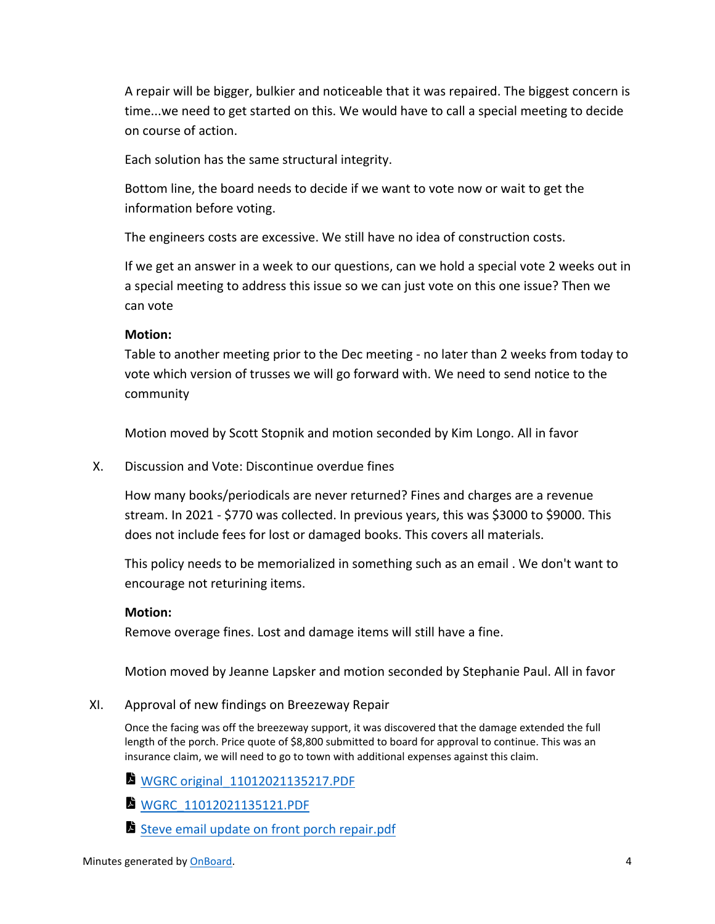A repair will be bigger, bulkier and noticeable that it was repaired. The biggest concern is time...we need to get started on this. We would have to call a special meeting to decide on course of action.

Each solution has the same structural integrity.

Bottom line, the board needs to decide if we want to vote now or wait to get the information before voting.

The engineers costs are excessive. We still have no idea of construction costs.

If we get an answer in a week to our questions, can we hold a special vote 2 weeks out in a special meeting to address this issue so we can just vote on this one issue? Then we can vote

## **Motion:**

Table to another meeting prior to the Dec meeting - no later than 2 weeks from today to vote which version of trusses we will go forward with. We need to send notice to the community

Motion moved by Scott Stopnik and motion seconded by Kim Longo. All in favor

X. Discussion and Vote: Discontinue overdue fines

How many books/periodicals are never returned? Fines and charges are a revenue stream. In 2021 - \$770 was collected. In previous years, this was \$3000 to \$9000. This does not include fees for lost or damaged books. This covers all materials.

This policy needs to be memorialized in something such as an email . We don't want to encourage not returining items.

## **Motion:**

Remove overage fines. Lost and damage items will still have a fine.

Motion moved by Jeanne Lapsker and motion seconded by Stephanie Paul. All in favor

XI. Approval of new findings on Breezeway Repair

Once the facing was off the breezeway support, it was discovered that the damage extended the full length of the porch. Price quote of \$8,800 submitted to board for approval to continue. This was an insurance claim, we will need to go to town with additional expenses against this claim.

- WGRC original\_11012021135217.PDF
- WGRC 11012021135121.PDF
- Steve email update on front porch repair.pdf